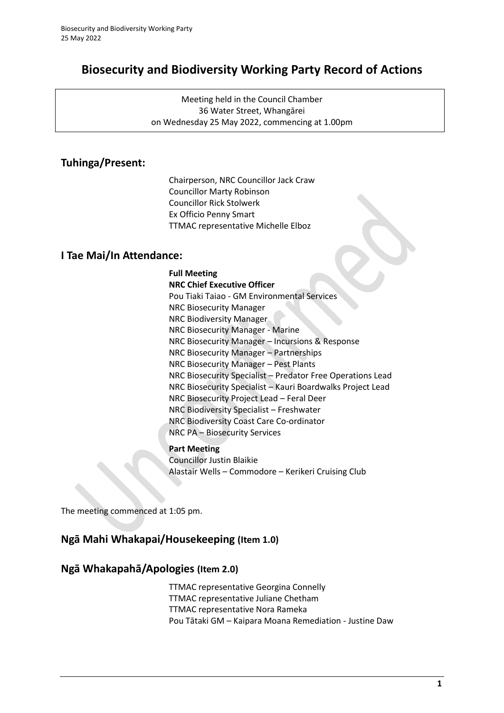# **Biosecurity and Biodiversity Working Party Record of Actions**

Meeting held in the Council Chamber 36 Water Street, Whangārei on Wednesday 25 May 2022, commencing at 1.00pm

## **Tuhinga/Present:**

Chairperson, NRC Councillor Jack Craw Councillor Marty Robinson Councillor Rick Stolwerk Ex Officio Penny Smart TTMAC representative Michelle Elboz

### **I Tae Mai/In Attendance:**

**Full Meeting NRC Chief Executive Officer**  Pou Tiaki Taiao - GM Environmental Services NRC Biosecurity Manager NRC Biodiversity Manager NRC Biosecurity Manager - Marine NRC Biosecurity Manager – Incursions & Response NRC Biosecurity Manager – Partnerships NRC Biosecurity Manager – Pest Plants NRC Biosecurity Specialist – Predator Free Operations Lead NRC Biosecurity Specialist – Kauri Boardwalks Project Lead NRC Biosecurity Project Lead – Feral Deer NRC Biodiversity Specialist – Freshwater NRC Biodiversity Coast Care Co-ordinator NRC PA – Biosecurity Services

#### **Part Meeting**

Councillor Justin Blaikie Alastair Wells – Commodore – Kerikeri Cruising Club

The meeting commenced at 1:05 pm.

## **Ngā Mahi Whakapai/Housekeeping (Item 1.0)**

### **Ngā Whakapahā/Apologies (Item 2.0)**

TTMAC representative Georgina Connelly TTMAC representative Juliane Chetham TTMAC representative Nora Rameka Pou Tātaki GM – Kaipara Moana Remediation - Justine Daw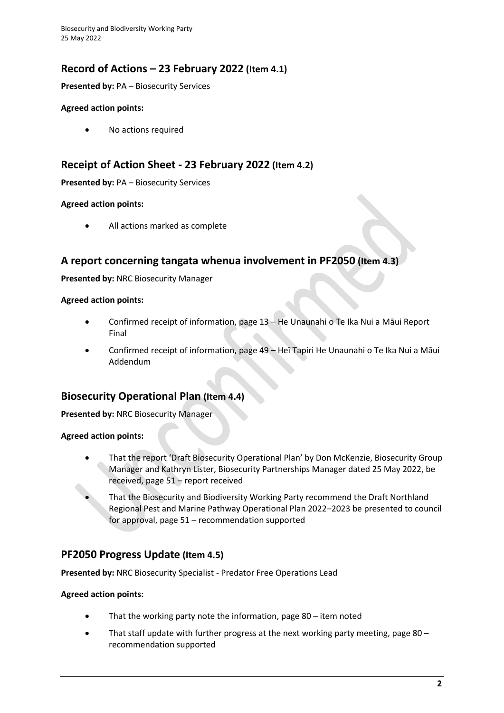Biosecurity and Biodiversity Working Party 25 May 2022

## **Record of Actions – 23 February 2022 (Item 4.1)**

**Presented by:** PA – Biosecurity Services

#### **Agreed action points:**

• No actions required

## **Receipt of Action Sheet - 23 February 2022 (Item 4.2)**

**Presented by:** PA – Biosecurity Services

#### **Agreed action points:**

All actions marked as complete

## **A report concerning tangata whenua involvement in PF2050 (Item 4.3)**

**Presented by:** NRC Biosecurity Manager

#### **Agreed action points:**

- Confirmed receipt of information, page 13 He Unaunahi o Te Ika Nui a Māui Report Final
- Confirmed receipt of information, page 49 Heī Tapiri He Unaunahi o Te Ika Nui a Māui Addendum

## **Biosecurity Operational Plan (Item 4.4)**

**Presented by:** NRC Biosecurity Manager

#### **Agreed action points:**

- That the report 'Draft Biosecurity Operational Plan' by Don McKenzie, Biosecurity Group Manager and Kathryn Lister, Biosecurity Partnerships Manager dated 25 May 2022, be received, page 51 – report received
	- That the Biosecurity and Biodiversity Working Party recommend the Draft Northland Regional Pest and Marine Pathway Operational Plan 2022–2023 be presented to council for approval, page 51 – recommendation supported

### **PF2050 Progress Update (Item 4.5)**

**Presented by:** NRC Biosecurity Specialist - Predator Free Operations Lead

#### **Agreed action points:**

- That the working party note the information, page 80 item noted
- That staff update with further progress at the next working party meeting, page 80 recommendation supported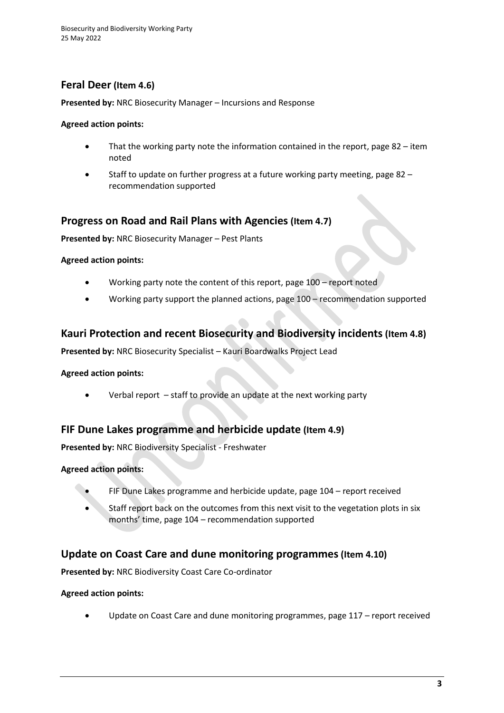## **Feral Deer (Item 4.6)**

**Presented by:** NRC Biosecurity Manager – Incursions and Response

#### **Agreed action points:**

- That the working party note the information contained in the report, page  $82 i$ tem noted
- Staff to update on further progress at a future working party meeting, page 82 recommendation supported

## **Progress on Road and Rail Plans with Agencies (Item 4.7)**

**Presented by:** NRC Biosecurity Manager – Pest Plants

#### **Agreed action points:**

- Working party note the content of this report, page 100 report noted
- Working party support the planned actions, page 100 recommendation supported

## **Kauri Protection and recent Biosecurity and Biodiversity incidents (Item 4.8)**

**Presented by:** NRC Biosecurity Specialist – Kauri Boardwalks Project Lead

#### **Agreed action points:**

• Verbal report – staff to provide an update at the next working party

### **FIF Dune Lakes programme and herbicide update (Item 4.9)**

**Presented by:** NRC Biodiversity Specialist - Freshwater

#### **Agreed action points:**

- FIF Dune Lakes programme and herbicide update, page 104 report received
- Staff report back on the outcomes from this next visit to the vegetation plots in six months' time, page 104 – recommendation supported

### **Update on Coast Care and dune monitoring programmes(Item 4.10)**

**Presented by:** NRC Biodiversity Coast Care Co-ordinator

#### **Agreed action points:**

Update on Coast Care and dune monitoring programmes, page 117 – report received